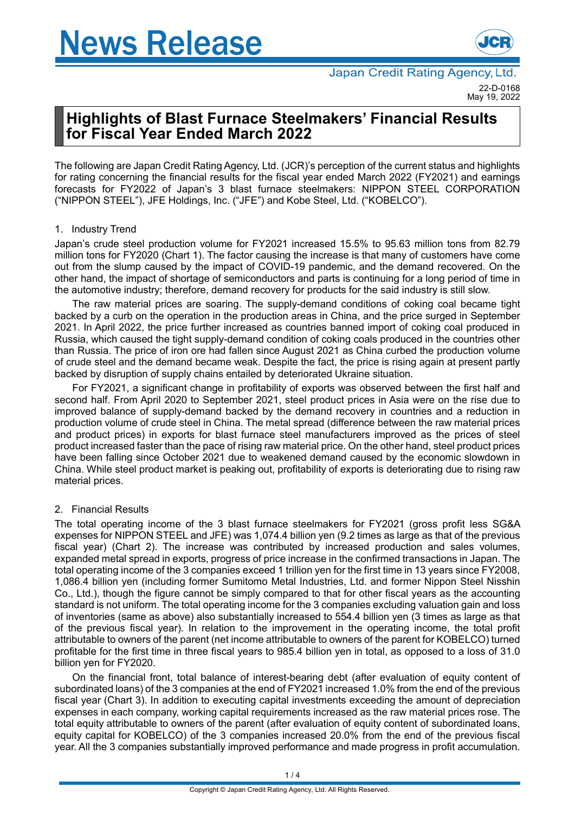

# **Highlights of Blast Furnace Steelmakers' Financial Results for Fiscal Year Ended March 2022**

The following are Japan Credit Rating Agency, Ltd. (JCR)'s perception of the current status and highlights for rating concerning the financial results for the fiscal year ended March 2022 (FY2021) and earnings forecasts for FY2022 of Japan's 3 blast furnace steelmakers: NIPPON STEEL CORPORATION ("NIPPON STEEL"), JFE Holdings, Inc. ("JFE") and Kobe Steel, Ltd. ("KOBELCO").

## 1. Industry Trend

Japan's crude steel production volume for FY2021 increased 15.5% to 95.63 million tons from 82.79 million tons for FY2020 (Chart 1). The factor causing the increase is that many of customers have come out from the slump caused by the impact of COVID-19 pandemic, and the demand recovered. On the other hand, the impact of shortage of semiconductors and parts is continuing for a long period of time in the automotive industry; therefore, demand recovery for products for the said industry is still slow.

The raw material prices are soaring. The supply-demand conditions of coking coal became tight backed by a curb on the operation in the production areas in China, and the price surged in September 2021. In April 2022, the price further increased as countries banned import of coking coal produced in Russia, which caused the tight supply-demand condition of coking coals produced in the countries other than Russia. The price of iron ore had fallen since August 2021 as China curbed the production volume of crude steel and the demand became weak. Despite the fact, the price is rising again at present partly backed by disruption of supply chains entailed by deteriorated Ukraine situation.

For FY2021, a significant change in profitability of exports was observed between the first half and second half. From April 2020 to September 2021, steel product prices in Asia were on the rise due to improved balance of supply-demand backed by the demand recovery in countries and a reduction in production volume of crude steel in China. The metal spread (difference between the raw material prices and product prices) in exports for blast furnace steel manufacturers improved as the prices of steel product increased faster than the pace of rising raw material price. On the other hand, steel product prices have been falling since October 2021 due to weakened demand caused by the economic slowdown in China. While steel product market is peaking out, profitability of exports is deteriorating due to rising raw material prices.

## 2. Financial Results

The total operating income of the 3 blast furnace steelmakers for FY2021 (gross profit less SG&A expenses for NIPPON STEEL and JFE) was 1,074.4 billion yen (9.2 times as large as that of the previous fiscal year) (Chart 2). The increase was contributed by increased production and sales volumes, expanded metal spread in exports, progress of price increase in the confirmed transactions in Japan. The total operating income of the 3 companies exceed 1 trillion yen for the first time in 13 years since FY2008, 1,086.4 billion yen (including former Sumitomo Metal Industries, Ltd. and former Nippon Steel Nisshin Co., Ltd.), though the figure cannot be simply compared to that for other fiscal years as the accounting standard is not uniform. The total operating income for the 3 companies excluding valuation gain and loss of inventories (same as above) also substantially increased to 554.4 billion yen (3 times as large as that of the previous fiscal year). In relation to the improvement in the operating income, the total profit attributable to owners of the parent (net income attributable to owners of the parent for KOBELCO) turned profitable for the first time in three fiscal years to 985.4 billion yen in total, as opposed to a loss of 31.0 billion yen for FY2020.

On the financial front, total balance of interest-bearing debt (after evaluation of equity content of subordinated loans) of the 3 companies at the end of FY2021 increased 1.0% from the end of the previous fiscal year (Chart 3). In addition to executing capital investments exceeding the amount of depreciation expenses in each company, working capital requirements increased as the raw material prices rose. The total equity attributable to owners of the parent (after evaluation of equity content of subordinated loans, equity capital for KOBELCO) of the 3 companies increased 20.0% from the end of the previous fiscal year. All the 3 companies substantially improved performance and made progress in profit accumulation.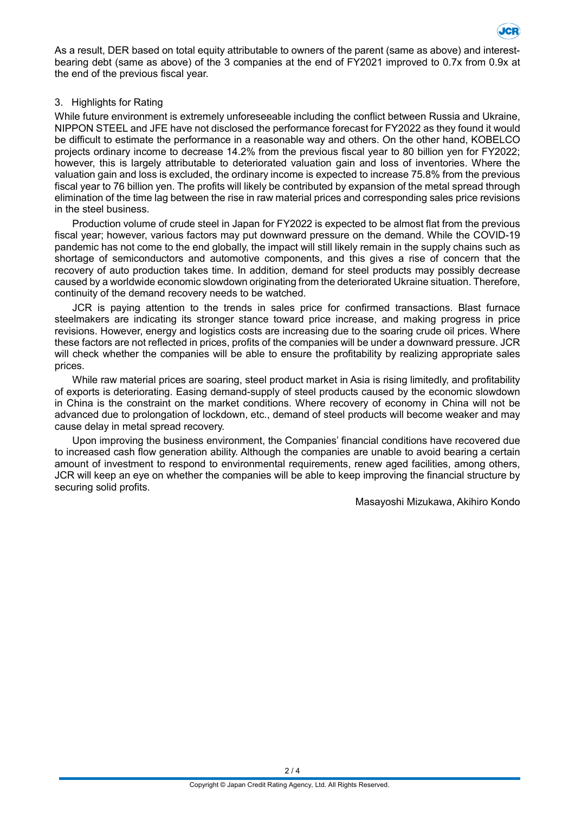

As a result, DER based on total equity attributable to owners of the parent (same as above) and interestbearing debt (same as above) of the 3 companies at the end of FY2021 improved to 0.7x from 0.9x at the end of the previous fiscal year.

#### 3. Highlights for Rating

While future environment is extremely unforeseeable including the conflict between Russia and Ukraine, NIPPON STEEL and JFE have not disclosed the performance forecast for FY2022 as they found it would be difficult to estimate the performance in a reasonable way and others. On the other hand, KOBELCO projects ordinary income to decrease 14.2% from the previous fiscal year to 80 billion yen for FY2022; however, this is largely attributable to deteriorated valuation gain and loss of inventories. Where the valuation gain and loss is excluded, the ordinary income is expected to increase 75.8% from the previous fiscal year to 76 billion yen. The profits will likely be contributed by expansion of the metal spread through elimination of the time lag between the rise in raw material prices and corresponding sales price revisions in the steel business.

Production volume of crude steel in Japan for FY2022 is expected to be almost flat from the previous fiscal year; however, various factors may put downward pressure on the demand. While the COVID-19 pandemic has not come to the end globally, the impact will still likely remain in the supply chains such as shortage of semiconductors and automotive components, and this gives a rise of concern that the recovery of auto production takes time. In addition, demand for steel products may possibly decrease caused by a worldwide economic slowdown originating from the deteriorated Ukraine situation. Therefore, continuity of the demand recovery needs to be watched.

JCR is paying attention to the trends in sales price for confirmed transactions. Blast furnace steelmakers are indicating its stronger stance toward price increase, and making progress in price revisions. However, energy and logistics costs are increasing due to the soaring crude oil prices. Where these factors are not reflected in prices, profits of the companies will be under a downward pressure. JCR will check whether the companies will be able to ensure the profitability by realizing appropriate sales prices.

While raw material prices are soaring, steel product market in Asia is rising limitedly, and profitability of exports is deteriorating. Easing demand-supply of steel products caused by the economic slowdown in China is the constraint on the market conditions. Where recovery of economy in China will not be advanced due to prolongation of lockdown, etc., demand of steel products will become weaker and may cause delay in metal spread recovery.

Upon improving the business environment, the Companies' financial conditions have recovered due to increased cash flow generation ability. Although the companies are unable to avoid bearing a certain amount of investment to respond to environmental requirements, renew aged facilities, among others, JCR will keep an eye on whether the companies will be able to keep improving the financial structure by securing solid profits.

Masayoshi Mizukawa, Akihiro Kondo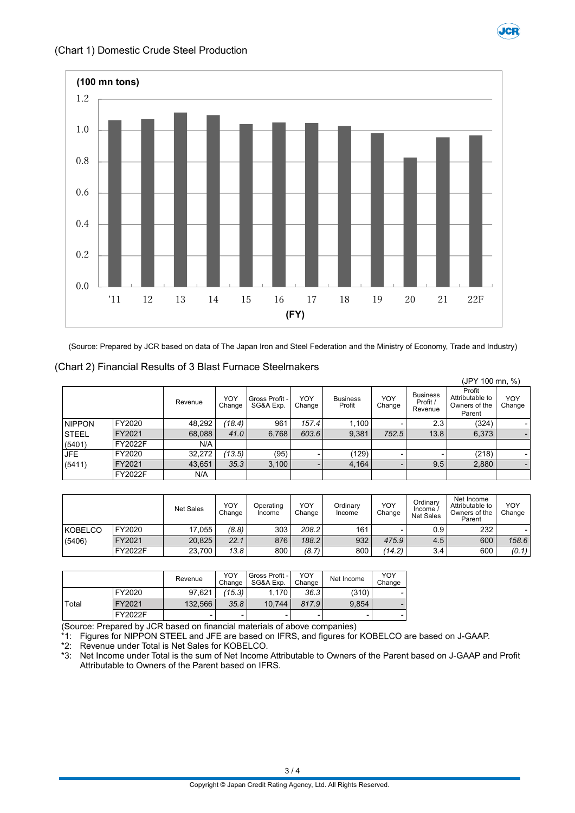

**JCR** 

(Source: Prepared by JCR based on data of The Japan Iron and Steel Federation and the Ministry of Economy, Trade and Industry)

#### (Chart 2) Financial Results of 3 Blast Furnace Steelmakers

|               |                |         |               |                             |               |                           |                          |                                        | (JPY 100 mn, %)                                      |               |
|---------------|----------------|---------|---------------|-----------------------------|---------------|---------------------------|--------------------------|----------------------------------------|------------------------------------------------------|---------------|
|               |                | Revenue | YOY<br>Change | Gross Profit -<br>SG&A Exp. | YOY<br>Change | <b>Business</b><br>Profit | YOY<br>Change            | <b>Business</b><br>Profit /<br>Revenue | Profit<br>Attributable to<br>Owners of the<br>Parent | YOY<br>Change |
| <b>NIPPON</b> | FY2020         | 48,292  | (18.4)        | 961                         | 157.4         | 1.100                     |                          | 2.3                                    | (324)                                                |               |
| <b>STEEL</b>  | FY2021         | 68,088  | 41.0          | 6.768                       | 603.6         | 9,381                     | 752.5                    | 13.8                                   | 6,373                                                | -             |
| (5401)        | <b>FY2022F</b> | N/A     |               |                             |               |                           |                          |                                        |                                                      |               |
| <b>JFE</b>    | FY2020         | 32,272  | (13.5)        | (95)                        |               | (129)                     | -                        |                                        | (218)                                                |               |
| (5411)        | FY2021         | 43,651  | 35.3          | 3,100                       |               | 4,164                     | $\overline{\phantom{0}}$ | 9.5                                    | 2,880                                                | -             |
|               | FY2022F        | N/A     |               |                             |               |                           |                          |                                        |                                                      |               |

|         |         | <b>Net Sales</b> | YOY<br>Change | Operating<br>Income | YOY<br>Change | Ordinarv<br>Income | YOY<br>Change | Ordinarv<br>Income /<br><b>Net Sales</b> | Net Income<br>Attributable to<br>Owners of the<br>Parent | YOY<br>Change |
|---------|---------|------------------|---------------|---------------------|---------------|--------------------|---------------|------------------------------------------|----------------------------------------------------------|---------------|
| KOBELCO | FY2020  | 17.055           | (8.8)         | 303                 | 208.2         | 161                |               | 0.9                                      | 232                                                      |               |
| (5406)  | FY2021  | 20,825           | 22.1          | 876                 | 188.2         | 932                | 475.9         | 4.5                                      | 600                                                      | 158.6         |
|         | FY2022F | 23.700           | 13.8          | 800                 | (8.7)         | 800                | (14.2)        | 3.4                                      | 600                                                      | (0.1)         |

|       |         | Revenue | YOY<br>Change | Gross Profit -<br>SG&A Exp. | YOY<br>Change            | Net Income | YOY<br>Change |
|-------|---------|---------|---------------|-----------------------------|--------------------------|------------|---------------|
|       | FY2020  | 97.621  | (15.3)        | $1.170 +$                   | 36.3                     | (310)      |               |
| Total | FY2021  | 132.566 | 35.8          | 10.744                      | 817.9                    | 9.854      |               |
|       | FY2022F | -       | -             |                             | $\overline{\phantom{0}}$ | -          |               |

(Source: Prepared by JCR based on financial materials of above companies)

 $^*$ 1: Figures for NIPPON STEEL and JFE are based on IFRS, and figures for KOBELCO are based on J-GAAP.<br>\*2: Revenue under Total is Net Sales for KOBELCO.

\*2: Revenue under Total is Net Sales for KOBELCO.

Net Income under Total is the sum of Net Income Attributable to Owners of the Parent based on J-GAAP and Profit Attributable to Owners of the Parent based on IFRS.